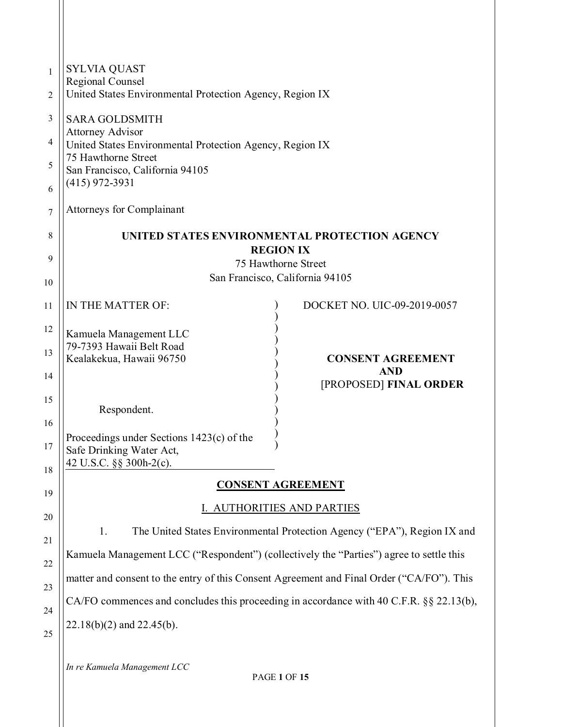| <b>SYLVIA QUAST</b><br>1<br>Regional Counsel<br>United States Environmental Protection Agency, Region IX<br>$\overline{2}$ |                                                                                                                                                                          |
|----------------------------------------------------------------------------------------------------------------------------|--------------------------------------------------------------------------------------------------------------------------------------------------------------------------|
| 3<br><b>SARA GOLDSMITH</b><br><b>Attorney Advisor</b>                                                                      |                                                                                                                                                                          |
| 75 Hawthorne Street<br>5<br>San Francisco, California 94105                                                                |                                                                                                                                                                          |
| 6<br><b>Attorneys for Complainant</b><br>7                                                                                 |                                                                                                                                                                          |
| UNITED STATES ENVIRONMENTAL PROTECTION AGENCY<br>8                                                                         |                                                                                                                                                                          |
| 9                                                                                                                          |                                                                                                                                                                          |
| San Francisco, California 94105<br>10                                                                                      |                                                                                                                                                                          |
| IN THE MATTER OF:                                                                                                          | DOCKET NO. UIC-09-2019-0057                                                                                                                                              |
| 12<br>Kamuela Management LLC<br>79-7393 Hawaii Belt Road                                                                   |                                                                                                                                                                          |
| Kealakekua, Hawaii 96750                                                                                                   | <b>CONSENT AGREEMENT</b><br><b>AND</b>                                                                                                                                   |
| 15                                                                                                                         | [PROPOSED] FINAL ORDER                                                                                                                                                   |
| 16                                                                                                                         |                                                                                                                                                                          |
| Proceedings under Sections 1423(c) of the<br>17<br>Safe Drinking Water Act,<br>42 U.S.C. §§ 300h-2(c).                     |                                                                                                                                                                          |
| <b>CONSENT AGREEMENT</b>                                                                                                   |                                                                                                                                                                          |
| I. AUTHORITIES AND PARTIES                                                                                                 |                                                                                                                                                                          |
| 1.                                                                                                                         | The United States Environmental Protection Agency ("EPA"), Region IX and                                                                                                 |
| Kamuela Management LCC ("Respondent") (collectively the "Parties") agree to settle this<br>22                              |                                                                                                                                                                          |
| matter and consent to the entry of this Consent Agreement and Final Order ("CA/FO"). This<br>23                            |                                                                                                                                                                          |
| CA/FO commences and concludes this proceeding in accordance with 40 C.F.R. §§ 22.13(b),<br>24                              |                                                                                                                                                                          |
| 25                                                                                                                         |                                                                                                                                                                          |
| 4<br>13<br>14<br>18<br>19<br>20                                                                                            | United States Environmental Protection Agency, Region IX<br>$(415)$ 972-3931<br><b>REGION IX</b><br>75 Hawthorne Street<br>Respondent.<br>$22.18(b)(2)$ and $22.45(b)$ . |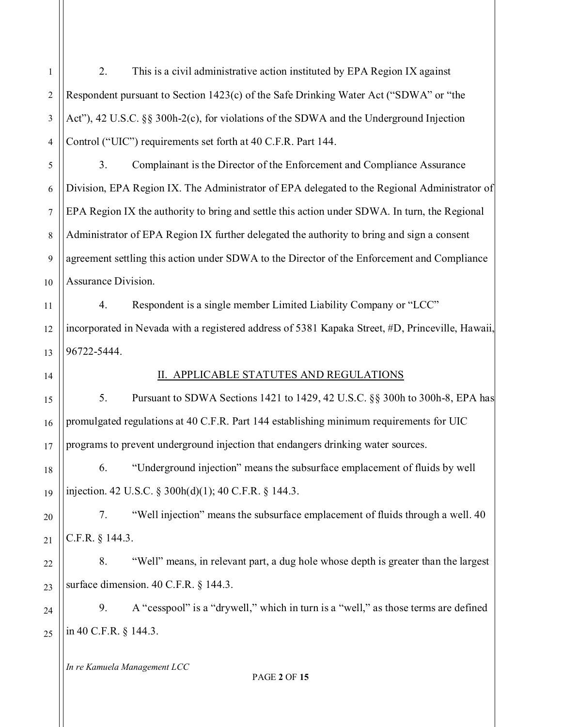1 2 3 4 5 6 7 8 9 10 11 12 13 14 15 16 17 18 19 20 21 22 23 24 25 2. This is a civil administrative action instituted by EPA Region IX against Respondent pursuant to Section 1423(c) of the Safe Drinking Water Act ("SDWA" or "the Act"), 42 U.S.C. §§ 300h-2(c), for violations of the SDWA and the Underground Injection Control ("UIC") requirements set forth at 40 C.F.R. Part 144. 3. Complainant is the Director of the Enforcement and Compliance Assurance Division, EPA Region IX. The Administrator of EPA delegated to the Regional Administrator of EPA Region IX the authority to bring and settle this action under SDWA. In turn, the Regional Administrator of EPA Region IX further delegated the authority to bring and sign a consent agreement settling this action under SDWA to the Director of the Enforcement and Compliance Assurance Division. 4. Respondent is a single member Limited Liability Company or "LCC" incorporated in Nevada with a registered address of 5381 Kapaka Street, #D, Princeville, Hawaii, 96722-5444. II. APPLICABLE STATUTES AND REGULATIONS 5. Pursuant to SDWA Sections 1421 to 1429, 42 U.S.C. §§ 300h to 300h-8, EPA has promulgated regulations at 40 C.F.R. Part 144 establishing minimum requirements for UIC programs to prevent underground injection that endangers drinking water sources. 6. "Underground injection" means the subsurface emplacement of fluids by well injection. 42 U.S.C. § 300h(d)(1); 40 C.F.R. § 144.3. 7. "Well injection" means the subsurface emplacement of fluids through a well. 40 C.F.R. § 144.3. 8. "Well" means, in relevant part, a dug hole whose depth is greater than the largest surface dimension. 40 C.F.R. § 144.3. 9. A "cesspool" is a "drywell," which in turn is a "well," as those terms are defined in 40 C.F.R. § 144.3.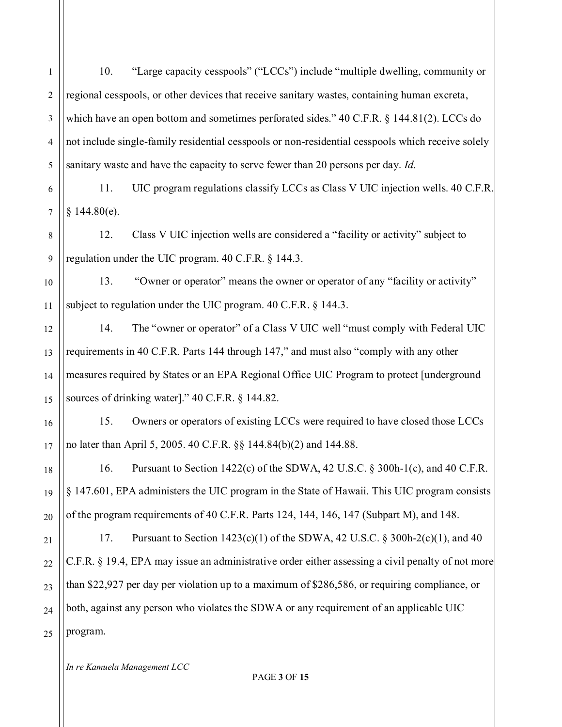| $\mathbf{1}$     | "Large capacity cesspools" ("LCCs") include "multiple dwelling, community or<br>10.               |
|------------------|---------------------------------------------------------------------------------------------------|
| $\overline{2}$   | regional cesspools, or other devices that receive sanitary wastes, containing human excreta,      |
| $\mathfrak{Z}$   | which have an open bottom and sometimes perforated sides." 40 C.F.R. § 144.81(2). LCCs do         |
| $\overline{4}$   | not include single-family residential cesspools or non-residential cesspools which receive solely |
| 5                | sanitary waste and have the capacity to serve fewer than 20 persons per day. Id.                  |
| 6                | UIC program regulations classify LCCs as Class V UIC injection wells. 40 C.F.R.<br>11.            |
| $\boldsymbol{7}$ | § 144.80(e).                                                                                      |
| 8                | Class V UIC injection wells are considered a "facility or activity" subject to<br>12.             |
| $\boldsymbol{9}$ | regulation under the UIC program. 40 C.F.R. § 144.3.                                              |
| 10               | 13.<br>"Owner or operator" means the owner or operator of any "facility or activity"              |
| 11               | subject to regulation under the UIC program. $40$ C.F.R. § 144.3.                                 |
| 12               | The "owner or operator" of a Class V UIC well "must comply with Federal UIC<br>14.                |
| 13               | requirements in 40 C.F.R. Parts 144 through 147," and must also "comply with any other            |
| 14               | measures required by States or an EPA Regional Office UIC Program to protect [underground         |
| 15               | sources of drinking water]." 40 C.F.R. § 144.82.                                                  |
| 16               | Owners or operators of existing LCCs were required to have closed those LCCs<br>15.               |
| 17               | no later than April 5, 2005. 40 C.F.R. §§ 144.84(b)(2) and 144.88.                                |
| 18               | 16. Pursuant to Section 1422(c) of the SDWA, 42 U.S.C. § 300h-1(c), and 40 C.F.R.                 |
| 19               | § 147.601, EPA administers the UIC program in the State of Hawaii. This UIC program consists      |
| 20               | of the program requirements of 40 C.F.R. Parts 124, 144, 146, 147 (Subpart M), and 148.           |
| 21               | Pursuant to Section $1423(c)(1)$ of the SDWA, 42 U.S.C. § 300h-2(c)(1), and 40<br>17.             |
| 22               | C.F.R. § 19.4, EPA may issue an administrative order either assessing a civil penalty of not more |
| 23               | than \$22,927 per day per violation up to a maximum of \$286,586, or requiring compliance, or     |
| 24               | both, against any person who violates the SDWA or any requirement of an applicable UIC            |
| 25               | program.                                                                                          |
|                  |                                                                                                   |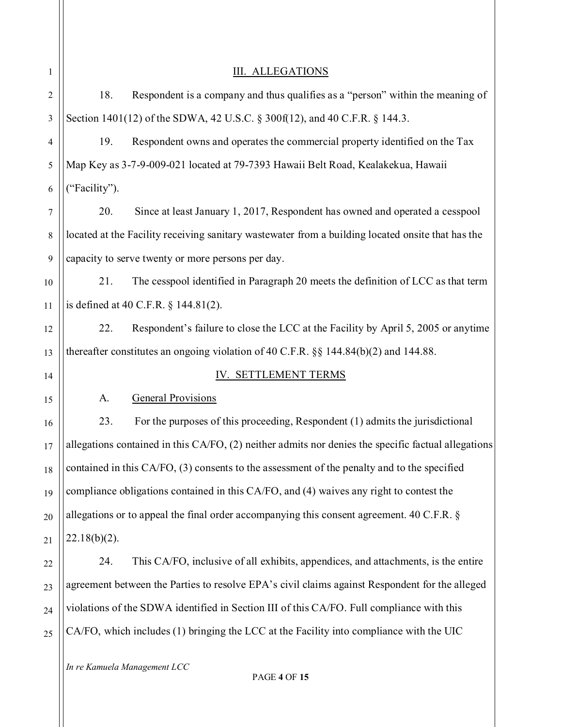| 1              |                 | <b>III. ALLEGATIONS</b>                                                                             |
|----------------|-----------------|-----------------------------------------------------------------------------------------------------|
| $\overline{2}$ | 18.             | Respondent is a company and thus qualifies as a "person" within the meaning of                      |
| 3              |                 | Section 1401(12) of the SDWA, 42 U.S.C. § 300f(12), and 40 C.F.R. § 144.3.                          |
| 4              | 19.             | Respondent owns and operates the commercial property identified on the Tax                          |
| 5              |                 | Map Key as 3-7-9-009-021 located at 79-7393 Hawaii Belt Road, Kealakekua, Hawaii                    |
| 6              | ("Facility").   |                                                                                                     |
| 7              | 20.             | Since at least January 1, 2017, Respondent has owned and operated a cesspool                        |
| 8              |                 | located at the Facility receiving sanitary wastewater from a building located onsite that has the   |
| 9              |                 | capacity to serve twenty or more persons per day.                                                   |
| 10             | 21.             | The cesspool identified in Paragraph 20 meets the definition of LCC as that term                    |
| 11             |                 | is defined at 40 C.F.R. $\S$ 144.81(2).                                                             |
| 12             | 22.             | Respondent's failure to close the LCC at the Facility by April 5, 2005 or anytime                   |
| 13             |                 | thereafter constitutes an ongoing violation of 40 C.F.R. $\S$ 144.84(b)(2) and 144.88.              |
| 14             |                 | IV. SETTLEMENT TERMS                                                                                |
| 15             | A.              | General Provisions                                                                                  |
| 16             | 23.             | For the purposes of this proceeding, Respondent (1) admits the jurisdictional                       |
| 17             |                 | allegations contained in this CA/FO, (2) neither admits nor denies the specific factual allegations |
| 18             |                 | contained in this CA/FO, (3) consents to the assessment of the penalty and to the specified         |
| 19             |                 | compliance obligations contained in this CA/FO, and (4) waives any right to contest the             |
| 20             |                 | allegations or to appeal the final order accompanying this consent agreement. 40 C.F.R. §           |
| 21             | $22.18(b)(2)$ . |                                                                                                     |
| 22             | 24.             | This CA/FO, inclusive of all exhibits, appendices, and attachments, is the entire                   |
| 23             |                 | agreement between the Parties to resolve EPA's civil claims against Respondent for the alleged      |
| 24             |                 | violations of the SDWA identified in Section III of this CA/FO. Full compliance with this           |
| 25             |                 | CA/FO, which includes (1) bringing the LCC at the Facility into compliance with the UIC             |
|                |                 |                                                                                                     |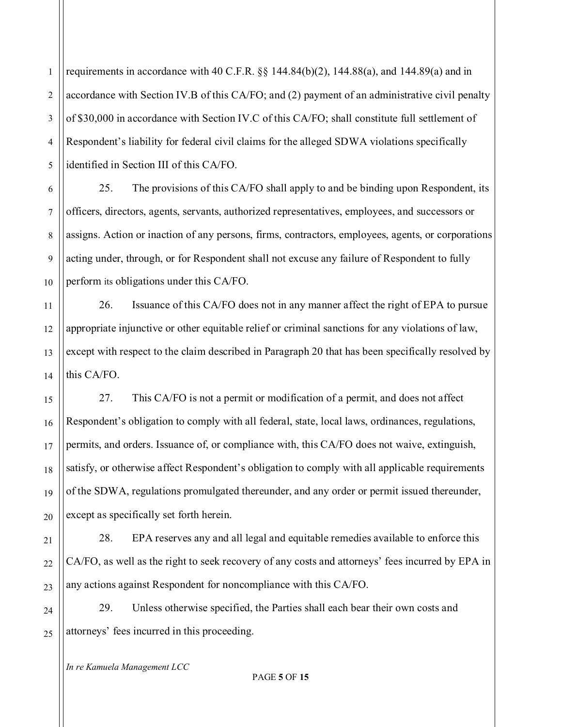2 3 4 5 requirements in accordance with 40 C.F.R.  $\S$  144.84(b)(2), 144.88(a), and 144.89(a) and in accordance with Section IV.B of this CA/FO; and (2) payment of an administrative civil penalty of \$30,000 in accordance with Section IV.C of this CA/FO; shall constitute full settlement of Respondent's liability for federal civil claims for the alleged SDWA violations specifically identified in Section III of this CA/FO.

6 10 25. The provisions of this CA/FO shall apply to and be binding upon Respondent, its officers, directors, agents, servants, authorized representatives, employees, and successors or assigns. Action or inaction of any persons, firms, contractors, employees, agents, or corporations acting under, through, or for Respondent shall not excuse any failure of Respondent to fully perform its obligations under this CA/FO.

26. Issuance of this CA/FO does not in any manner affect the right of EPA to pursue appropriate injunctive or other equitable relief or criminal sanctions for any violations of law, except with respect to the claim described in Paragraph 20 that has been specifically resolved by this CA/FO.

27. This CA/FO is not a permit or modification of a permit, and does not affect Respondent's obligation to comply with all federal, state, local laws, ordinances, regulations, permits, and orders. Issuance of, or compliance with, this CA/FO does not waive, extinguish, satisfy, or otherwise affect Respondent's obligation to comply with all applicable requirements of the SDWA, regulations promulgated thereunder, and any order or permit issued thereunder, except as specifically set forth herein.

28. EPA reserves any and all legal and equitable remedies available to enforce this CA/FO, as well as the right to seek recovery of any costs and attorneys' fees incurred by EPA in any actions against Respondent for noncompliance with this CA/FO.

24 25 29. Unless otherwise specified, the Parties shall each bear their own costs and attorneys' fees incurred in this proceeding.

*In re Kamuela Management LCC*

1

7

8

9

11

12

13

14

15

16

17

18

19

20

21

22

23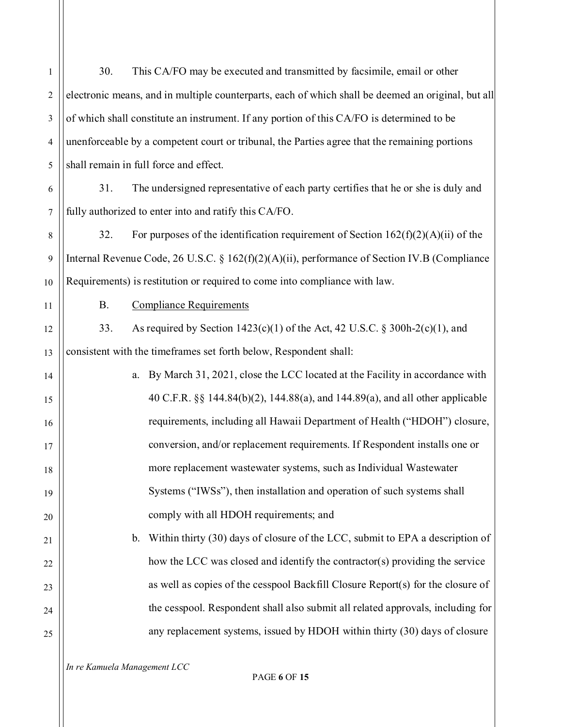| $\mathbf{1}$     | 30.       | This CA/FO may be executed and transmitted by facsimile, email or other                            |
|------------------|-----------|----------------------------------------------------------------------------------------------------|
| $\overline{c}$   |           | electronic means, and in multiple counterparts, each of which shall be deemed an original, but all |
| $\mathfrak{Z}$   |           | of which shall constitute an instrument. If any portion of this CA/FO is determined to be          |
| $\overline{4}$   |           | unenforceable by a competent court or tribunal, the Parties agree that the remaining portions      |
| 5                |           | shall remain in full force and effect.                                                             |
| 6                | 31.       | The undersigned representative of each party certifies that he or she is duly and                  |
| $\boldsymbol{7}$ |           | fully authorized to enter into and ratify this CA/FO.                                              |
| 8                | 32.       | For purposes of the identification requirement of Section $162(f)(2)(A)(ii)$ of the                |
| 9                |           | Internal Revenue Code, 26 U.S.C. § $162(f)(2)(A)(ii)$ , performance of Section IV.B (Compliance    |
| 10               |           | Requirements) is restitution or required to come into compliance with law.                         |
| 11               | <b>B.</b> | <b>Compliance Requirements</b>                                                                     |
| 12               | 33.       | As required by Section 1423(c)(1) of the Act, 42 U.S.C. § 300h-2(c)(1), and                        |
| 13               |           | consistent with the timeframes set forth below, Respondent shall:                                  |
| 14               |           | By March 31, 2021, close the LCC located at the Facility in accordance with<br>a.                  |
| 15               |           | 40 C.F.R. §§ 144.84(b)(2), 144.88(a), and 144.89(a), and all other applicable                      |
| 16               |           | requirements, including all Hawaii Department of Health ("HDOH") closure,                          |
| 17               |           | conversion, and/or replacement requirements. If Respondent installs one or                         |
| 18               |           | more replacement wastewater systems, such as Individual Wastewater                                 |
| 19               |           | Systems ("IWSs"), then installation and operation of such systems shall                            |
| 20               |           | comply with all HDOH requirements; and                                                             |
| 21               |           | Within thirty (30) days of closure of the LCC, submit to EPA a description of<br>$\mathbf{b}$ .    |
| 22               |           | how the LCC was closed and identify the contractor(s) providing the service                        |
| 23               |           | as well as copies of the cesspool Backfill Closure Report(s) for the closure of                    |
| 24               |           | the cesspool. Respondent shall also submit all related approvals, including for                    |
| 25               |           | any replacement systems, issued by HDOH within thirty (30) days of closure                         |
|                  |           |                                                                                                    |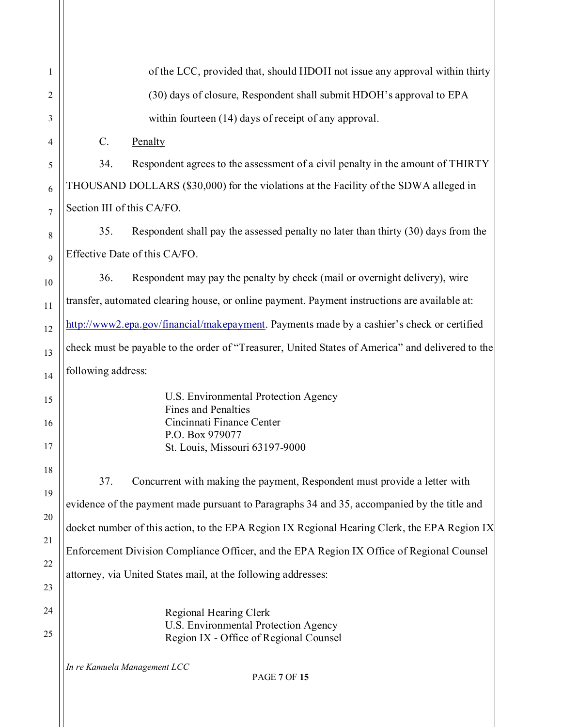| 1                    |                    | of the LCC, provided that, should HDOH not issue any approval within thirty                                                                                                                                                                                                                                                                                           |
|----------------------|--------------------|-----------------------------------------------------------------------------------------------------------------------------------------------------------------------------------------------------------------------------------------------------------------------------------------------------------------------------------------------------------------------|
| 2                    |                    | (30) days of closure, Respondent shall submit HDOH's approval to EPA                                                                                                                                                                                                                                                                                                  |
| 3                    |                    | within fourteen (14) days of receipt of any approval.                                                                                                                                                                                                                                                                                                                 |
| $\overline{4}$       | C.                 | Penalty                                                                                                                                                                                                                                                                                                                                                               |
| 5                    | 34.                | Respondent agrees to the assessment of a civil penalty in the amount of THIRTY                                                                                                                                                                                                                                                                                        |
| 6                    |                    | THOUSAND DOLLARS (\$30,000) for the violations at the Facility of the SDWA alleged in                                                                                                                                                                                                                                                                                 |
| 7                    |                    | Section III of this CA/FO.                                                                                                                                                                                                                                                                                                                                            |
| 8                    | 35.                | Respondent shall pay the assessed penalty no later than thirty (30) days from the                                                                                                                                                                                                                                                                                     |
| 9                    |                    | Effective Date of this CA/FO.                                                                                                                                                                                                                                                                                                                                         |
| 10                   | 36.                | Respondent may pay the penalty by check (mail or overnight delivery), wire                                                                                                                                                                                                                                                                                            |
| 11                   |                    | transfer, automated clearing house, or online payment. Payment instructions are available at:                                                                                                                                                                                                                                                                         |
| 12                   |                    | http://www2.epa.gov/financial/makepayment. Payments made by a cashier's check or certified                                                                                                                                                                                                                                                                            |
| 13                   |                    | check must be payable to the order of "Treasurer, United States of America" and delivered to the                                                                                                                                                                                                                                                                      |
| 14                   | following address: |                                                                                                                                                                                                                                                                                                                                                                       |
| 15<br>16<br>17       |                    | U.S. Environmental Protection Agency<br><b>Fines and Penalties</b><br>Cincinnati Finance Center<br>P.O. Box 979077<br>St. Louis, Missouri 63197-9000                                                                                                                                                                                                                  |
| 18<br>19<br>20<br>21 | 37.                | Concurrent with making the payment, Respondent must provide a letter with<br>evidence of the payment made pursuant to Paragraphs 34 and 35, accompanied by the title and<br>docket number of this action, to the EPA Region IX Regional Hearing Clerk, the EPA Region IX<br>Enforcement Division Compliance Officer, and the EPA Region IX Office of Regional Counsel |
| 22<br>23             |                    | attorney, via United States mail, at the following addresses:                                                                                                                                                                                                                                                                                                         |
| 24<br>25             |                    | Regional Hearing Clerk<br>U.S. Environmental Protection Agency<br>Region IX - Office of Regional Counsel                                                                                                                                                                                                                                                              |
|                      |                    | In re Kamuela Management LCC<br><b>PAGE 7 OF 15</b>                                                                                                                                                                                                                                                                                                                   |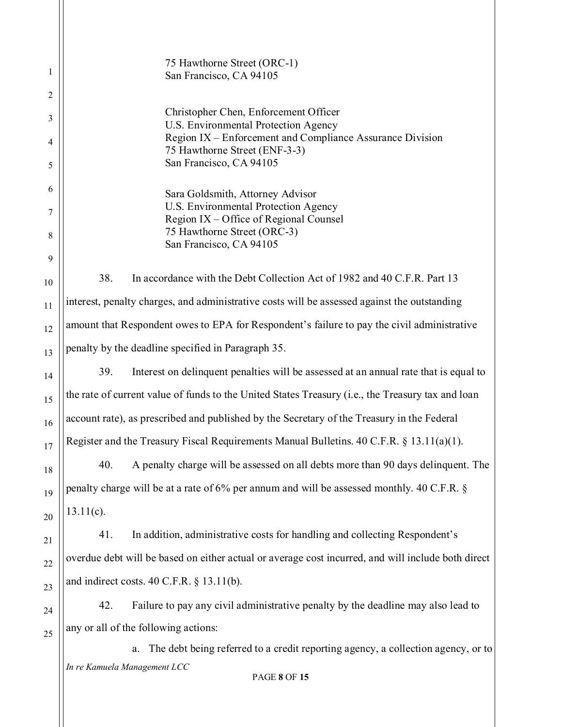1 2 3 4 5 6 7 8 9 10 11 12 13 14 15 16 17 18 19 20 21 22 23 24 25 75 Hawthorne Street (ORC-1) San Francisco, CA 94105 Christopher Chen, Enforcement Officer U.S. Environmental Protection Agency Region IX – Enforcement and Compliance Assurance Division 75 Hawthorne Street (ENF-3-3) San Francisco, CA 94105 Sara Goldsmith, Attorney Advisor U.S. Environmental Protection Agency Region IX – Office of Regional Counsel 75 Hawthorne Street (ORC-3) San Francisco, CA 94105 38. In accordance with the Debt Collection Act of 1982 and 40 C.F.R. Part 13 interest, penalty charges, and administrative costs will be assessed against the outstanding amount that Respondent owes to EPA for Respondent's failure to pay the civil administrative penalty by the deadline specified in Paragraph 35. 39. Interest on delinquent penalties will be assessed at an annual rate that is equal to the rate of current value of funds to the United States Treasury (i.e., the Treasury tax and loan account rate), as prescribed and published by the Secretary of the Treasury in the Federal Register and the Treasury Fiscal Requirements Manual Bulletins. 40 C.F.R. § 13.11(a)(1). 40. A penalty charge will be assessed on all debts more than 90 days delinquent. The penalty charge will be at a rate of 6% per annum and will be assessed monthly. 40 C.F.R. §  $13.11(c)$ . 41. In addition, administrative costs for handling and collecting Respondent's overdue debt will be based on either actual or average cost incurred, and will include both direct and indirect costs. 40 C.F.R. § 13.11(b). 42. Failure to pay any civil administrative penalty by the deadline may also lead to any or all of the following actions: a. The debt being referred to a credit reporting agency, a collection agency, or to

PAGE **8** OF **15**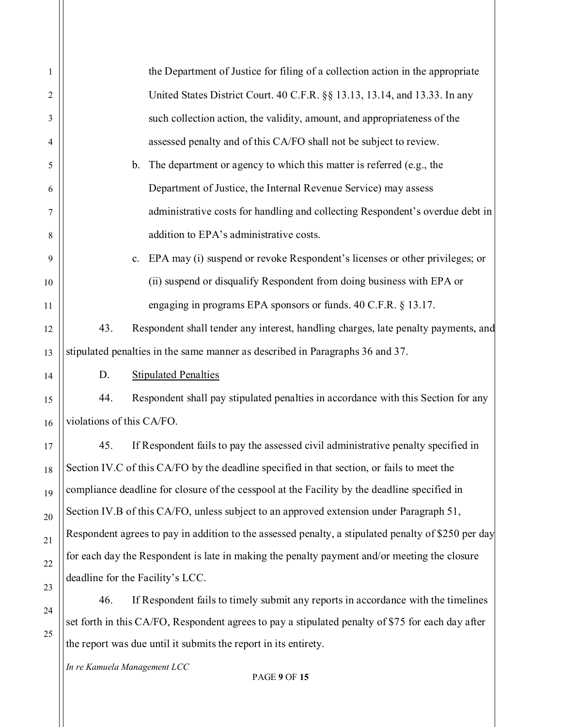| 1  | the Department of Justice for filing of a collection action in the appropriate                      |
|----|-----------------------------------------------------------------------------------------------------|
| 2  | United States District Court. 40 C.F.R. §§ 13.13, 13.14, and 13.33. In any                          |
| 3  | such collection action, the validity, amount, and appropriateness of the                            |
| 4  | assessed penalty and of this CA/FO shall not be subject to review.                                  |
| 5  | The department or agency to which this matter is referred (e.g., the<br>b.                          |
| 6  | Department of Justice, the Internal Revenue Service) may assess                                     |
| 7  | administrative costs for handling and collecting Respondent's overdue debt in                       |
| 8  | addition to EPA's administrative costs.                                                             |
| 9  | EPA may (i) suspend or revoke Respondent's licenses or other privileges; or<br>$c_{\cdot}$          |
| 10 | (ii) suspend or disqualify Respondent from doing business with EPA or                               |
| 11 | engaging in programs EPA sponsors or funds. 40 C.F.R. § 13.17.                                      |
| 12 | Respondent shall tender any interest, handling charges, late penalty payments, and<br>43.           |
| 13 | stipulated penalties in the same manner as described in Paragraphs 36 and 37.                       |
| 14 | <b>Stipulated Penalties</b><br>D.                                                                   |
| 15 | 44.<br>Respondent shall pay stipulated penalties in accordance with this Section for any            |
| 16 | violations of this CA/FO.                                                                           |
| 17 | If Respondent fails to pay the assessed civil administrative penalty specified in<br>45.            |
| 18 | Section IV.C of this CA/FO by the deadline specified in that section, or fails to meet the          |
| 19 | compliance deadline for closure of the cesspool at the Facility by the deadline specified in        |
| 20 | Section IV.B of this CA/FO, unless subject to an approved extension under Paragraph 51,             |
| 21 | Respondent agrees to pay in addition to the assessed penalty, a stipulated penalty of \$250 per day |
| 22 | for each day the Respondent is late in making the penalty payment and/or meeting the closure        |
| 23 | deadline for the Facility's LCC.                                                                    |
| 24 | 46.<br>If Respondent fails to timely submit any reports in accordance with the timelines            |
| 25 | set forth in this CA/FO, Respondent agrees to pay a stipulated penalty of \$75 for each day after   |

the report was due until it submits the report in its entirety.

## PAGE **9** OF **15**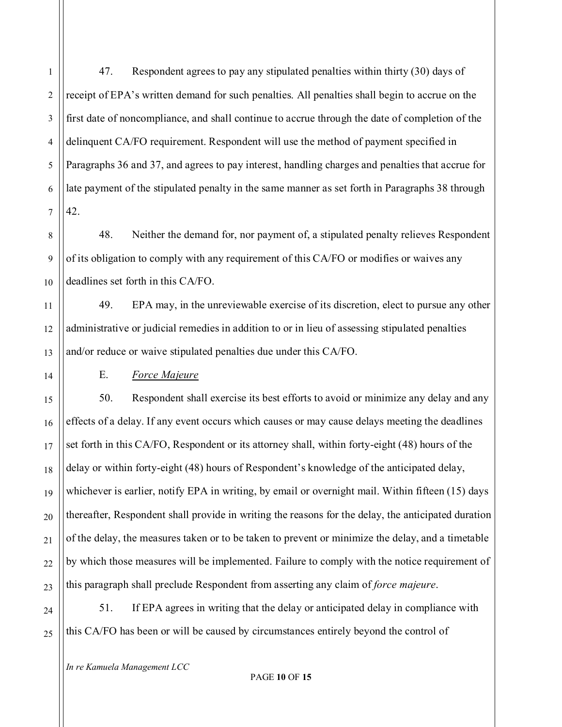1

2

47. Respondent agrees to pay any stipulated penalties within thirty (30) days of receipt of EPA's written demand for such penalties. All penalties shall begin to accrue on the first date of noncompliance, and shall continue to accrue through the date of completion of the delinquent CA/FO requirement. Respondent will use the method of payment specified in Paragraphs 36 and 37, and agrees to pay interest, handling charges and penalties that accrue for late payment of the stipulated penalty in the same manner as set forth in Paragraphs 38 through 42.

48. Neither the demand for, nor payment of, a stipulated penalty relieves Respondent of its obligation to comply with any requirement of this CA/FO or modifies or waives any deadlines set forth in this CA/FO.

49. EPA may, in the unreviewable exercise of its discretion, elect to pursue any other administrative or judicial remedies in addition to or in lieu of assessing stipulated penalties and/or reduce or waive stipulated penalties due under this CA/FO.

## E. *Force Majeure*

50. Respondent shall exercise its best efforts to avoid or minimize any delay and any effects of a delay. If any event occurs which causes or may cause delays meeting the deadlines set forth in this CA/FO, Respondent or its attorney shall, within forty-eight (48) hours of the delay or within forty-eight (48) hours of Respondent's knowledge of the anticipated delay, whichever is earlier, notify EPA in writing, by email or overnight mail. Within fifteen (15) days thereafter, Respondent shall provide in writing the reasons for the delay, the anticipated duration of the delay, the measures taken or to be taken to prevent or minimize the delay, and a timetable by which those measures will be implemented. Failure to comply with the notice requirement of this paragraph shall preclude Respondent from asserting any claim of *force majeure*.

51. If EPA agrees in writing that the delay or anticipated delay in compliance with this CA/FO has been or will be caused by circumstances entirely beyond the control of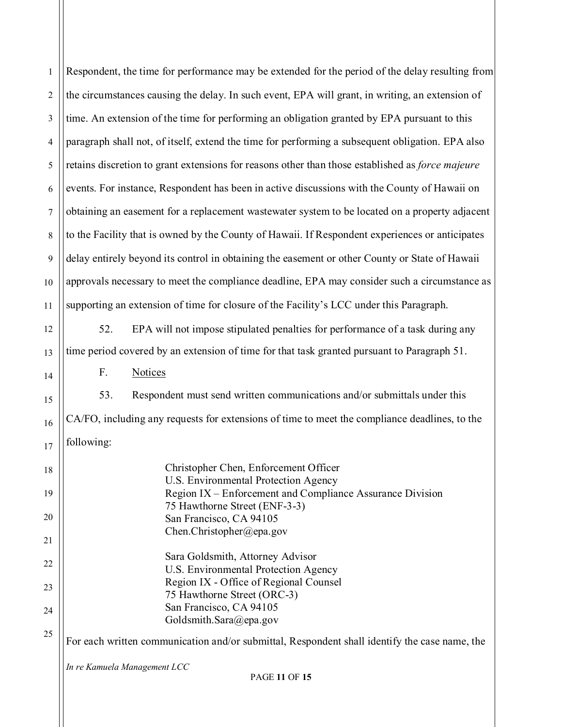| $\mathbf{1}$   | Respondent, the time for performance may be extended for the period of the delay resulting from                         |
|----------------|-------------------------------------------------------------------------------------------------------------------------|
| $\overline{2}$ | the circumstances causing the delay. In such event, EPA will grant, in writing, an extension of                         |
| 3              | time. An extension of the time for performing an obligation granted by EPA pursuant to this                             |
| $\overline{4}$ | paragraph shall not, of itself, extend the time for performing a subsequent obligation. EPA also                        |
| 5              | retains discretion to grant extensions for reasons other than those established as force majeure                        |
| 6              | events. For instance, Respondent has been in active discussions with the County of Hawaii on                            |
| $\overline{7}$ | obtaining an easement for a replacement wastewater system to be located on a property adjacent                          |
| $\,8\,$        | to the Facility that is owned by the County of Hawaii. If Respondent experiences or anticipates                         |
| 9              | delay entirely beyond its control in obtaining the easement or other County or State of Hawaii                          |
| 10             | approvals necessary to meet the compliance deadline, EPA may consider such a circumstance as                            |
| 11             | supporting an extension of time for closure of the Facility's LCC under this Paragraph.                                 |
| 12             | EPA will not impose stipulated penalties for performance of a task during any<br>52.                                    |
| 13             | time period covered by an extension of time for that task granted pursuant to Paragraph 51.                             |
| 14             | F.<br><b>Notices</b>                                                                                                    |
| 15             | 53.<br>Respondent must send written communications and/or submittals under this                                         |
| 16             | CA/FO, including any requests for extensions of time to meet the compliance deadlines, to the                           |
| 17             | following:                                                                                                              |
| 18             | Christopher Chen, Enforcement Officer                                                                                   |
| 19             | U.S. Environmental Protection Agency<br>Region IX – Enforcement and Compliance Assurance Division                       |
| 20             | 75 Hawthorne Street (ENF-3-3)<br>San Francisco, CA 94105                                                                |
| 21             | Chen.Christopher@epa.gov                                                                                                |
| 22             | Sara Goldsmith, Attorney Advisor<br>U.S. Environmental Protection Agency                                                |
| 23             | Region IX - Office of Regional Counsel<br>75 Hawthorne Street (ORC-3)                                                   |
| 24             | San Francisco, CA 94105                                                                                                 |
| 25             | Goldsmith.Sara@epa.gov<br>For each written communication and/or submittal, Respondent shall identify the case name, the |
|                |                                                                                                                         |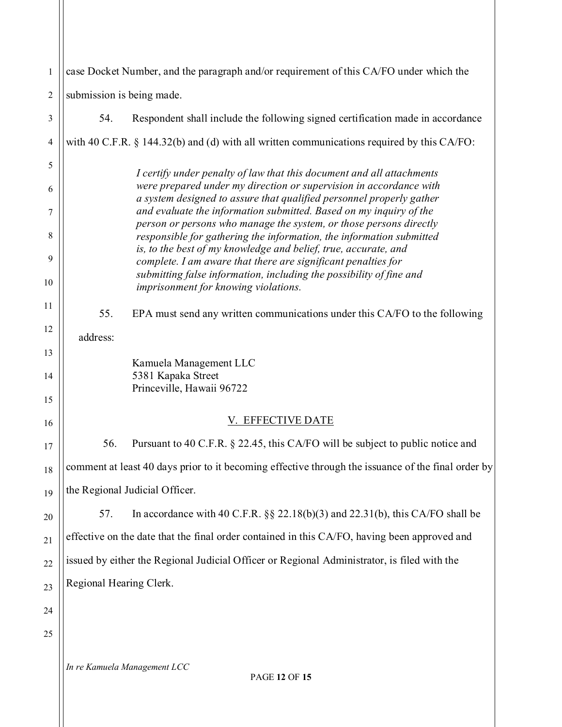| 1              | case Docket Number, and the paragraph and/or requirement of this CA/FO under which the                                                     |
|----------------|--------------------------------------------------------------------------------------------------------------------------------------------|
| $\overline{2}$ | submission is being made.                                                                                                                  |
| 3              | 54.<br>Respondent shall include the following signed certification made in accordance                                                      |
| 4              | with 40 C.F.R. § 144.32(b) and (d) with all written communications required by this CA/FO:                                                 |
| 5              | I certify under penalty of law that this document and all attachments                                                                      |
| 6              | were prepared under my direction or supervision in accordance with<br>a system designed to assure that qualified personnel properly gather |
| 7              | and evaluate the information submitted. Based on my inquiry of the<br>person or persons who manage the system, or those persons directly   |
| 8              | responsible for gathering the information, the information submitted<br>is, to the best of my knowledge and belief, true, accurate, and    |
| 9              | complete. I am aware that there are significant penalties for<br>submitting false information, including the possibility of fine and       |
| 10             | imprisonment for knowing violations.                                                                                                       |
| 11             | 55.<br>EPA must send any written communications under this CA/FO to the following                                                          |
| 12             | address:                                                                                                                                   |
| 13             | Kamuela Management LLC                                                                                                                     |
| 14<br>15       | 5381 Kapaka Street<br>Princeville, Hawaii 96722                                                                                            |
| 16             | V. EFFECTIVE DATE                                                                                                                          |
|                | 56.<br>Pursuant to 40 C.F.R. § 22.45, this CA/FO will be subject to public notice and                                                      |
| 17             | comment at least 40 days prior to it becoming effective through the issuance of the final order by                                         |
| 18             | the Regional Judicial Officer.                                                                                                             |
| 19             | In accordance with 40 C.F.R. $\S$ 22.18(b)(3) and 22.31(b), this CA/FO shall be<br>57.                                                     |
| 20             | effective on the date that the final order contained in this CA/FO, having been approved and                                               |
| 21             |                                                                                                                                            |
| 22             | issued by either the Regional Judicial Officer or Regional Administrator, is filed with the                                                |
| 23             | Regional Hearing Clerk.                                                                                                                    |
| 24             |                                                                                                                                            |
| 25             |                                                                                                                                            |
|                | In re Kamuela Management LCC<br><b>PAGE 12 OF 15</b>                                                                                       |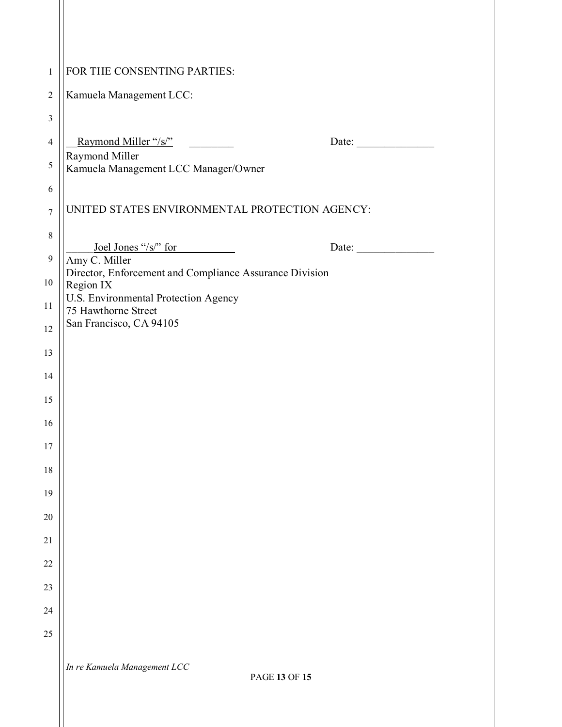| $\mathbf{1}$   | FOR THE CONSENTING PARTIES:                                              |
|----------------|--------------------------------------------------------------------------|
| $\overline{2}$ | Kamuela Management LCC:                                                  |
| 3              |                                                                          |
| $\overline{4}$ | Raymond Miller "/s/"<br>Date: $\qquad \qquad$                            |
| 5              | Raymond Miller<br>Kamuela Management LCC Manager/Owner                   |
| 6              |                                                                          |
| $\overline{7}$ | UNITED STATES ENVIRONMENTAL PROTECTION AGENCY:                           |
| $\,8\,$        | Joel Jones "/s/" for<br>Date: $\qquad \qquad$                            |
| $\mathbf{9}$   | Amy C. Miller<br>Director, Enforcement and Compliance Assurance Division |
| 10             | Region IX                                                                |
| 11             | U.S. Environmental Protection Agency<br>75 Hawthorne Street              |
| 12             | San Francisco, CA 94105                                                  |
| 13             |                                                                          |
| 14             |                                                                          |
| 15             |                                                                          |
| 16             |                                                                          |
| 17             |                                                                          |
| 18             |                                                                          |
| 19             |                                                                          |
| 20             |                                                                          |
| 21             |                                                                          |
| 22             |                                                                          |
| 23             |                                                                          |
| 24             |                                                                          |
| 25             |                                                                          |
|                | In re Kamuela Management LCC                                             |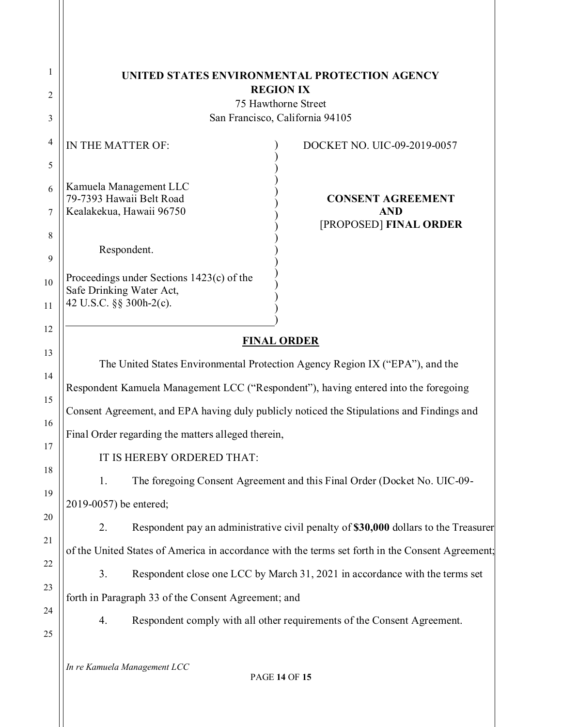|                                                                                                  | <b>REGION IX</b>                                                                                 |
|--------------------------------------------------------------------------------------------------|--------------------------------------------------------------------------------------------------|
|                                                                                                  | 75 Hawthorne Street<br>San Francisco, California 94105                                           |
| IN THE MATTER OF:                                                                                | DOCKET NO. UIC-09-2019-0057                                                                      |
|                                                                                                  |                                                                                                  |
| Kamuela Management LLC<br>79-7393 Hawaii Belt Road                                               | <b>CONSENT AGREEMENT</b>                                                                         |
| Kealakekua, Hawaii 96750                                                                         | <b>AND</b><br>[PROPOSED] FINAL ORDER                                                             |
| Respondent.                                                                                      |                                                                                                  |
| Proceedings under Sections 1423(c) of the<br>Safe Drinking Water Act,<br>42 U.S.C. §§ 300h-2(c). |                                                                                                  |
|                                                                                                  | <b>FINAL ORDER</b>                                                                               |
|                                                                                                  | The United States Environmental Protection Agency Region IX ("EPA"), and the                     |
|                                                                                                  | Respondent Kamuela Management LCC ("Respondent"), having entered into the foregoing              |
|                                                                                                  | Consent Agreement, and EPA having duly publicly noticed the Stipulations and Findings and        |
| Final Order regarding the matters alleged therein,                                               |                                                                                                  |
| IT IS HEREBY ORDERED THAT:                                                                       |                                                                                                  |
| 1.                                                                                               | The foregoing Consent Agreement and this Final Order (Docket No. UIC-09-                         |
| 2019-0057) be entered;                                                                           |                                                                                                  |
| 2.                                                                                               | Respondent pay an administrative civil penalty of \$30,000 dollars to the Treasurer              |
|                                                                                                  | of the United States of America in accordance with the terms set forth in the Consent Agreement; |
| 3.                                                                                               | Respondent close one LCC by March 31, 2021 in accordance with the terms set                      |
| forth in Paragraph 33 of the Consent Agreement; and                                              |                                                                                                  |
| 4.                                                                                               | Respondent comply with all other requirements of the Consent Agreement.                          |